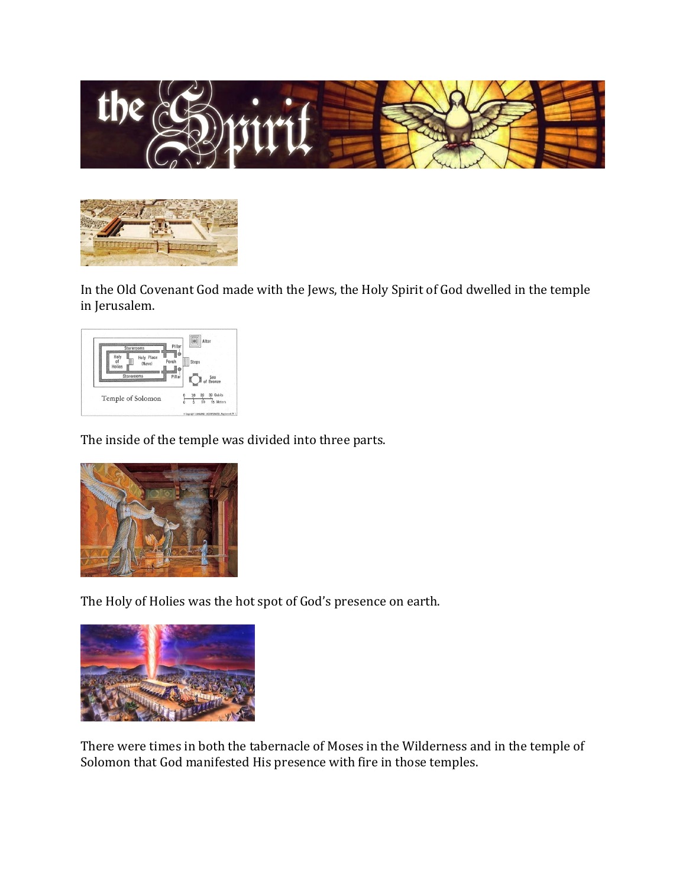



In the Old Covenant God made with the Jews, the Holy Spirit of God dwelled in the temple in Jerusalem.



The inside of the temple was divided into three parts.



The Holy of Holies was the hot spot of God's presence on earth.



There were times in both the tabernacle of Moses in the Wilderness and in the temple of Solomon that God manifested His presence with fire in those temples.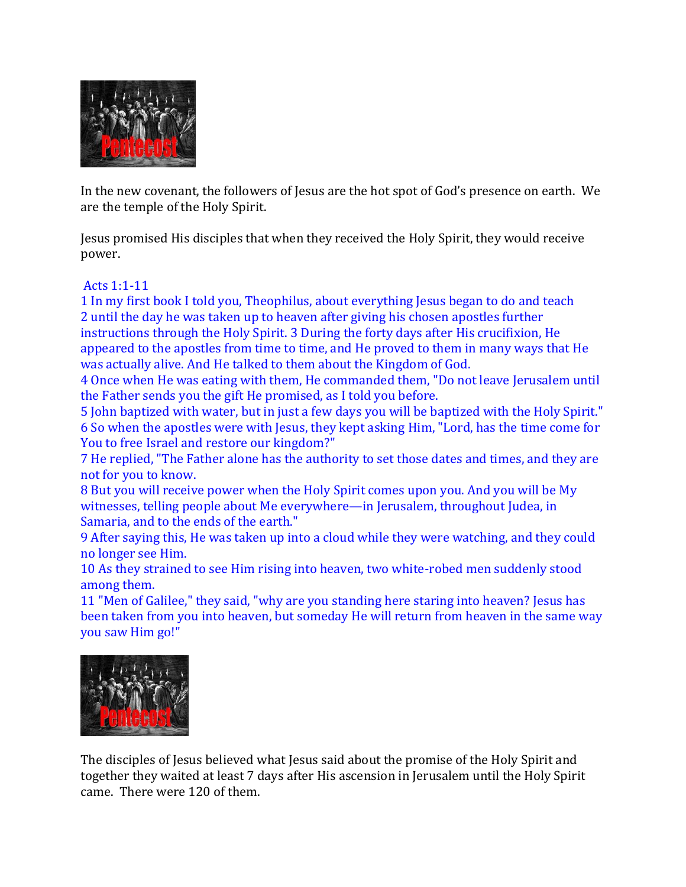

In the new covenant, the followers of Jesus are the hot spot of God's presence on earth. We are the temple of the Holy Spirit.

Jesus promised His disciples that when they received the Holy Spirit, they would receive power.

## Acts 1:1-11

1 In my first book I told you, Theophilus, about everything Jesus began to do and teach 2 until the day he was taken up to heaven after giving his chosen apostles further instructions through the Holy Spirit. 3 During the forty days after His crucifixion, He appeared to the apostles from time to time, and He proved to them in many ways that He was actually alive. And He talked to them about the Kingdom of God.

4 Once when He was eating with them, He commanded them, "Do not leave Jerusalem until the Father sends you the gift He promised, as I told you before.

5 John baptized with water, but in just a few days you will be baptized with the Holy Spirit." 6 So when the apostles were with Jesus, they kept asking Him, "Lord, has the time come for You to free Israel and restore our kingdom?"

7 He replied, "The Father alone has the authority to set those dates and times, and they are not for you to know.

8 But you will receive power when the Holy Spirit comes upon you. And you will be My witnesses, telling people about Me everywhere—in Jerusalem, throughout Judea, in Samaria, and to the ends of the earth."

9 After saying this, He was taken up into a cloud while they were watching, and they could no longer see Him.

10 As they strained to see Him rising into heaven, two white-robed men suddenly stood among them.

11 "Men of Galilee," they said, "why are you standing here staring into heaven? Jesus has been taken from you into heaven, but someday He will return from heaven in the same way you saw Him go!"



The disciples of Jesus believed what Jesus said about the promise of the Holy Spirit and together they waited at least 7 days after His ascension in Jerusalem until the Holy Spirit came. There were 120 of them.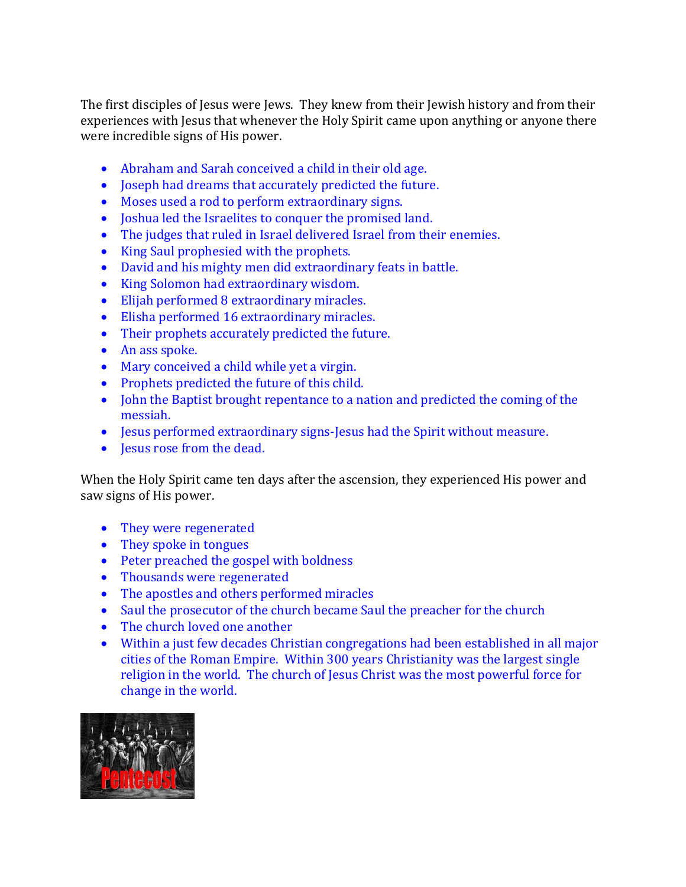The first disciples of Jesus were Jews. They knew from their Jewish history and from their experiences with Jesus that whenever the Holy Spirit came upon anything or anyone there were incredible signs of His power.

- Abraham and Sarah conceived a child in their old age.
- Joseph had dreams that accurately predicted the future.
- Moses used a rod to perform extraordinary signs.
- Joshua led the Israelites to conquer the promised land.
- The judges that ruled in Israel delivered Israel from their enemies.
- King Saul prophesied with the prophets.
- David and his mighty men did extraordinary feats in battle.
- King Solomon had extraordinary wisdom.
- Elijah performed 8 extraordinary miracles.
- Elisha performed 16 extraordinary miracles.
- Their prophets accurately predicted the future.
- An ass spoke.
- Mary conceived a child while yet a virgin.
- Prophets predicted the future of this child.
- John the Baptist brought repentance to a nation and predicted the coming of the messiah.
- Jesus performed extraordinary signs-Jesus had the Spirit without measure.
- Jesus rose from the dead.

When the Holy Spirit came ten days after the ascension, they experienced His power and saw signs of His power.

- They were regenerated
- They spoke in tongues
- Peter preached the gospel with boldness
- Thousands were regenerated
- The apostles and others performed miracles
- Saul the prosecutor of the church became Saul the preacher for the church
- The church loved one another
- Within a just few decades Christian congregations had been established in all major cities of the Roman Empire. Within 300 years Christianity was the largest single religion in the world. The church of Jesus Christ was the most powerful force for change in the world.